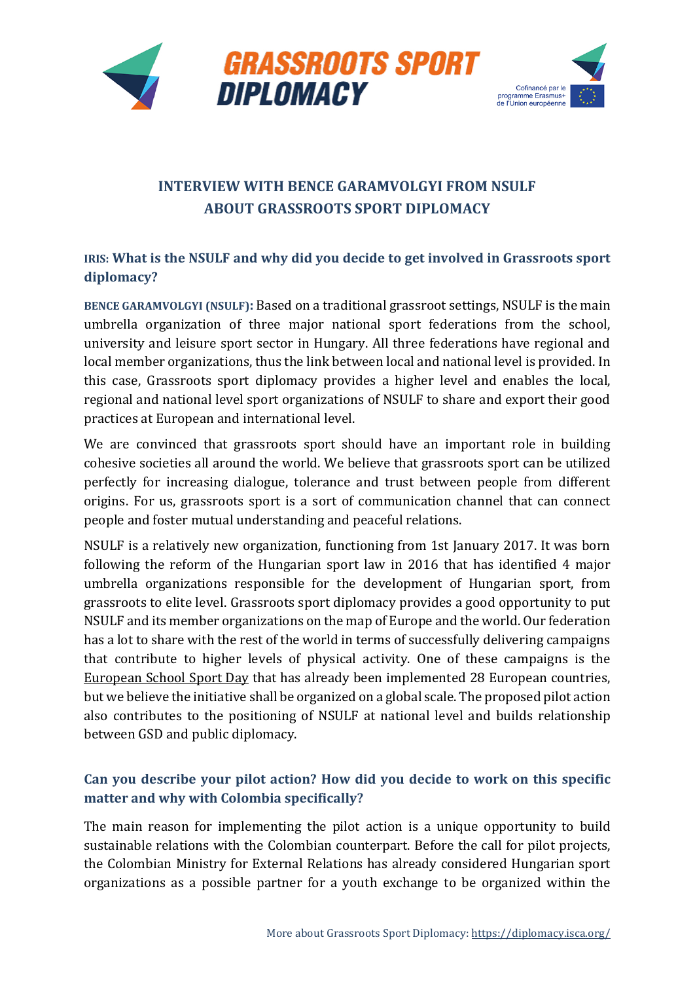



# **INTERVIEW WITH BENCE GARAMVOLGYI FROM NSULF ABOUT GRASSROOTS SPORT DIPLOMACY**

## **IRIS: What is the NSULF and why did you decide to get involved in Grassroots sport diplomacy?**

**BENCE GARAMVOLGYI (NSULF):** Based on a traditional grassroot settings, NSULF is the main umbrella organization of three major national sport federations from the school, university and leisure sport sector in Hungary. All three federations have regional and local member organizations, thus the link between local and national level is provided. In this case, Grassroots sport diplomacy provides a higher level and enables the local, regional and national level sport organizations of NSULF to share and export their good practices at European and international level.

We are convinced that grassroots sport should have an important role in building cohesive societies all around the world. We believe that grassroots sport can be utilized perfectly for increasing dialogue, tolerance and trust between people from different origins. For us, grassroots sport is a sort of communication channel that can connect people and foster mutual understanding and peaceful relations.

NSULF is a relatively new organization, functioning from 1st January 2017. It was born following the reform of the Hungarian sport law in 2016 that has identified 4 major umbrella organizations responsible for the development of Hungarian sport, from grassroots to elite level. Grassroots sport diplomacy provides a good opportunity to put NSULF and its member organizations on the map of Europe and the world. Our federation has a lot to share with the rest of the world in terms of successfully delivering campaigns that contribute to higher levels of physical activity. One of these campaigns is the [European School Sport Day](http://www.essd.eu/) that has already been implemented 28 European countries, but we believe the initiative shall be organized on a global scale. The proposed pilot action also contributes to the positioning of NSULF at national level and builds relationship between GSD and public diplomacy.

## **Can you describe your pilot action? How did you decide to work on this specific matter and why with Colombia specifically?**

The main reason for implementing the pilot action is a unique opportunity to build sustainable relations with the Colombian counterpart. Before the call for pilot projects, the Colombian Ministry for External Relations has already considered Hungarian sport organizations as a possible partner for a youth exchange to be organized within the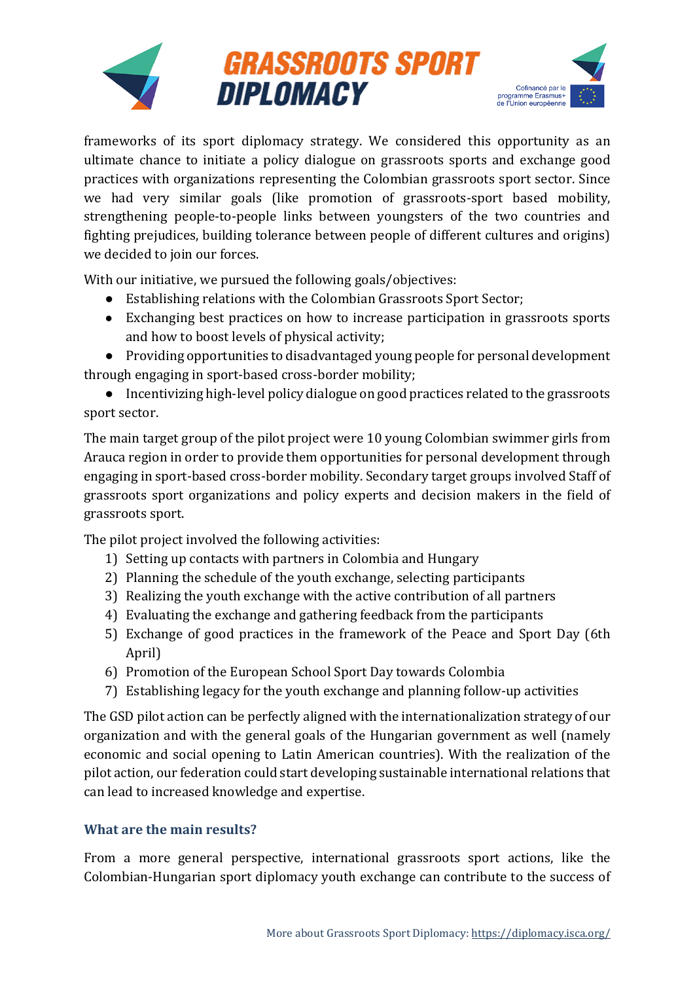

frameworks of its sport diplomacy strategy. We considered this opportunity as an ultimate chance to initiate a policy dialogue on grassroots sports and exchange good practices with organizations representing the Colombian grassroots sport sector. Since we had very similar goals (like promotion of grassroots-sport based mobility, strengthening people-to-people links between youngsters of the two countries and fighting prejudices, building tolerance between people of different cultures and origins) we decided to join our forces.

With our initiative, we pursued the following goals/objectives:

- Establishing relations with the Colombian Grassroots Sport Sector;
- Exchanging best practices on how to increase participation in grassroots sports and how to boost levels of physical activity;

● Providing opportunities to disadvantaged young people for personal development through engaging in sport-based cross-border mobility;

● Incentivizing high-level policy dialogue on good practices related to the grassroots sport sector.

The main target group of the pilot project were 10 young Colombian swimmer girls from Arauca region in order to provide them opportunities for personal development through engaging in sport-based cross-border mobility. Secondary target groups involved Staff of grassroots sport organizations and policy experts and decision makers in the field of grassroots sport.

The pilot project involved the following activities:

- 1) Setting up contacts with partners in Colombia and Hungary
- 2) Planning the schedule of the youth exchange, selecting participants
- 3) Realizing the youth exchange with the active contribution of all partners
- 4) Evaluating the exchange and gathering feedback from the participants
- 5) Exchange of good practices in the framework of the Peace and Sport Day (6th April)
- 6) Promotion of the European School Sport Day towards Colombia
- 7) Establishing legacy for the youth exchange and planning follow-up activities

The GSD pilot action can be perfectly aligned with the internationalization strategy of our organization and with the general goals of the Hungarian government as well (namely economic and social opening to Latin American countries). With the realization of the pilot action, our federation could start developing sustainable international relations that can lead to increased knowledge and expertise.

### **What are the main results?**

From a more general perspective, international grassroots sport actions, like the Colombian-Hungarian sport diplomacy youth exchange can contribute to the success of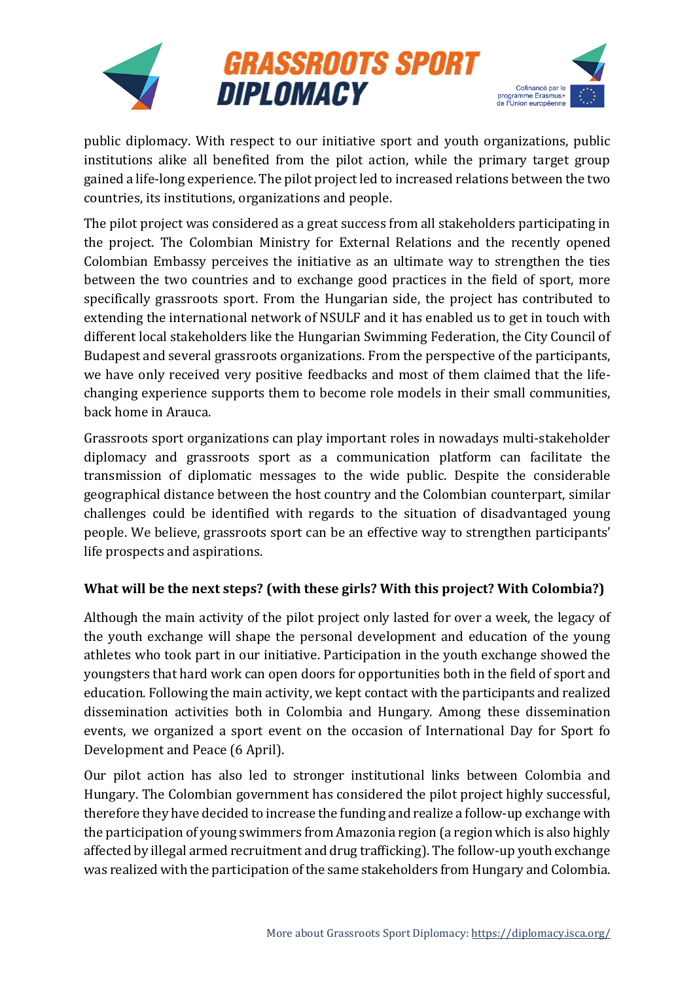

public diplomacy. With respect to our initiative sport and youth organizations, public institutions alike all benefited from the pilot action, while the primary target group gained a life-long experience. The pilot project led to increased relations between the two countries, its institutions, organizations and people.

The pilot project was considered as a great success from all stakeholders participating in the project. The Colombian Ministry for External Relations and the recently opened Colombian Embassy perceives the initiative as an ultimate way to strengthen the ties between the two countries and to exchange good practices in the field of sport, more specifically grassroots sport. From the Hungarian side, the project has contributed to extending the international network of NSULF and it has enabled us to get in touch with different local stakeholders like the Hungarian Swimming Federation, the City Council of Budapest and several grassroots organizations. From the perspective of the participants, we have only received very positive feedbacks and most of them claimed that the lifechanging experience supports them to become role models in their small communities, back home in Arauca.

Grassroots sport organizations can play important roles in nowadays multi-stakeholder diplomacy and grassroots sport as a communication platform can facilitate the transmission of diplomatic messages to the wide public. Despite the considerable geographical distance between the host country and the Colombian counterpart, similar challenges could be identified with regards to the situation of disadvantaged young people. We believe, grassroots sport can be an effective way to strengthen participants' life prospects and aspirations.

### **What will be the next steps? (with these girls? With this project? With Colombia?)**

Although the main activity of the pilot project only lasted for over a week, the legacy of the youth exchange will shape the personal development and education of the young athletes who took part in our initiative. Participation in the youth exchange showed the youngsters that hard work can open doors for opportunities both in the field of sport and education. Following the main activity, we kept contact with the participants and realized dissemination activities both in Colombia and Hungary. Among these dissemination events, we organized a sport event on the occasion of International Day for Sport fo Development and Peace (6 April).

Our pilot action has also led to stronger institutional links between Colombia and Hungary. The Colombian government has considered the pilot project highly successful, therefore they have decided to increase the funding and realize a follow-up exchange with the participation of young swimmers from Amazonia region (a region which is also highly affected by illegal armed recruitment and drug trafficking). The follow-up youth exchange was realized with the participation of the same stakeholders from Hungary and Colombia.